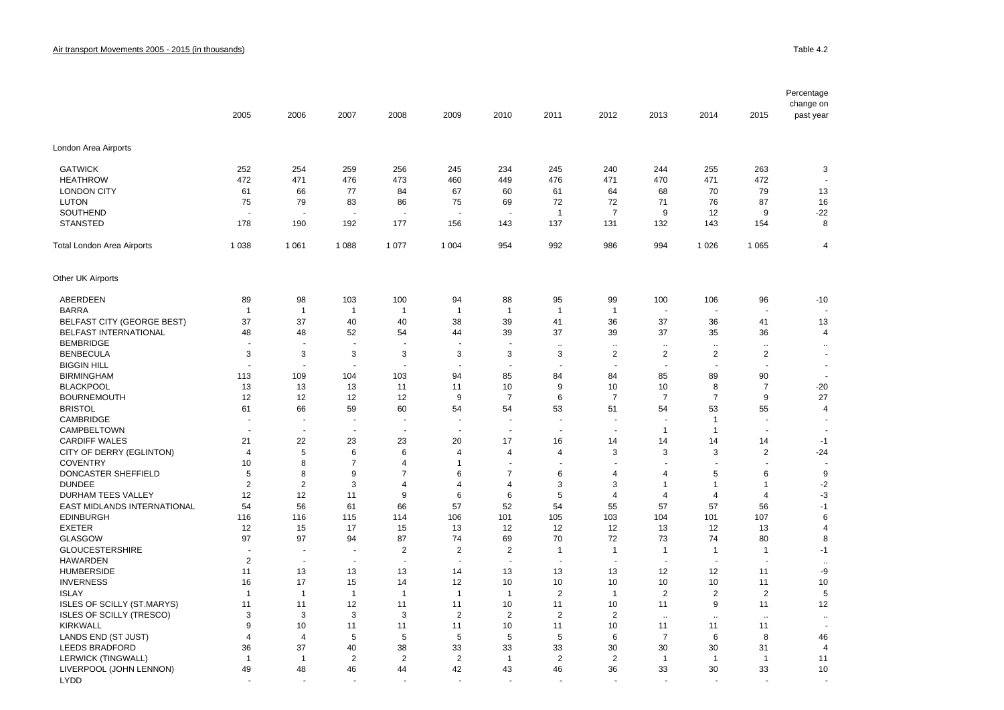| 2005<br>2006<br>2007<br>2008<br>2009<br>2010<br>2011<br>2012<br>2013<br>2014<br>2015<br>past year<br>London Area Airports<br><b>GATWICK</b><br>252<br>254<br>259<br>256<br>245<br>234<br>245<br>240<br>255<br>263<br>3<br>244<br>472<br>471<br>476<br>473<br>449<br>476<br>471<br>470<br>471<br>472<br><b>HEATHROW</b><br>460<br><b>LONDON CITY</b><br>77<br>84<br>64<br>70<br>79<br>13<br>61<br>66<br>67<br>60<br>61<br>68<br><b>LUTON</b><br>75<br>79<br>83<br>72<br>72<br>71<br>87<br>16<br>86<br>75<br>69<br>76<br>SOUTHEND<br>$\overline{7}$<br>9<br>12<br>9<br>$-22$<br>$\overline{1}$<br><b>STANSTED</b><br>178<br>190<br>192<br>177<br>143<br>137<br>131<br>132<br>143<br>8<br>156<br>154<br>1 0 3 8<br>1 0 6 1<br>1 0 8 8<br>1 0 7 7<br>1 0 0 4<br>954<br>992<br>986<br>994<br>1 0 2 6<br>1 0 6 5<br>$\overline{4}$<br><b>Total London Area Airports</b><br>Other UK Airports<br>ABERDEEN<br>89<br>98<br>103<br>100<br>94<br>88<br>95<br>99<br>100<br>106<br>96<br>$-10$<br><b>BARRA</b><br>$\overline{1}$<br>$\overline{1}$<br>$\mathbf{1}$<br>$\overline{1}$<br>$\overline{1}$<br>$\mathbf{1}$<br>$\mathbf{1}$<br>$\mathbf{1}$<br>$\overline{\phantom{a}}$<br><b>BELFAST CITY (GEORGE BEST)</b><br>37<br>37<br>40<br>40<br>38<br>39<br>41<br>36<br>37<br>41<br>13<br>36<br>BELFAST INTERNATIONAL<br>48<br>48<br>52<br>54<br>39<br>37<br>39<br>37<br>35<br>36<br>$\overline{\mathbf{4}}$<br>44<br><b>BEMBRIDGE</b><br>$\ddotsc$<br>$\ddot{\phantom{a}}$<br>$\ddotsc$<br>$\ddotsc$<br>$\ddot{\phantom{a}}$<br>÷.<br>3<br>3<br>3<br>$\overline{2}$<br>$\overline{2}$<br>$\overline{2}$<br><b>BENBECULA</b><br>3<br>3<br>3<br>$\overline{\mathbf{c}}$<br>3<br>$\overline{\phantom{a}}$<br><b>BIGGIN HILL</b><br>$\sim$<br>÷.<br>$\overline{\phantom{a}}$<br><b>BIRMINGHAM</b><br>113<br>109<br>104<br>103<br>85<br>84<br>85<br>89<br>90<br>94<br>84<br><b>BLACKPOOL</b><br>13<br>13<br>10<br>10<br>8<br>$\overline{7}$<br>$-20$<br>13<br>11<br>11<br>9<br>10<br>$\overline{7}$<br>$\overline{7}$<br>$\overline{7}$<br>$\overline{7}$<br>27<br><b>BOURNEMOUTH</b><br>12<br>12<br>9<br>9<br>12<br>12<br>6<br><b>BRISTOL</b><br>61<br>66<br>59<br>60<br>54<br>54<br>53<br>51<br>54<br>53<br>55<br>$\overline{\mathbf{4}}$<br>CAMBRIDGE<br>$\mathbf{1}$<br>÷.<br>$\overline{a}$<br>$\ddot{\phantom{1}}$<br>$\ddot{\phantom{1}}$<br>$\ddot{\phantom{1}}$<br>$\overline{\phantom{a}}$<br>CAMPBELTOWN<br>$\mathbf{1}$<br>$\mathbf{1}$<br>÷.<br>÷.<br>$\overline{a}$<br>÷<br>$\overline{\phantom{a}}$<br>$\overline{\phantom{a}}$<br><b>CARDIFF WALES</b><br>21<br>22<br>23<br>23<br>20<br>17<br>16<br>14<br>14<br>14<br>14<br>$-1$<br>5<br>$\overline{2}$<br>CITY OF DERRY (EGLINTON)<br>6<br>3<br>3<br>3<br>$-24$<br>$\overline{4}$<br>6<br>$\overline{4}$<br>$\overline{4}$<br>$\overline{4}$<br><b>COVENTRY</b><br>10<br>8<br>$\overline{7}$<br>4<br>$\overline{1}$<br>$\ddot{\phantom{1}}$<br>J.<br>$\overline{\phantom{a}}$<br>DONCASTER SHEFFIELD<br>$\overline{7}$<br>$\overline{7}$<br>9<br>5<br>8<br>9<br>5<br>6<br>6<br>6<br>$\overline{4}$<br>4<br><b>DUNDEE</b><br>$\overline{2}$<br>$\overline{2}$<br>3<br>$-2$<br>4<br>$\overline{4}$<br>4<br>3<br>3<br>$\mathbf{1}$<br>$\mathbf{1}$<br>1<br>12<br>$-3$<br><b>DURHAM TEES VALLEY</b><br>12<br>11<br>9<br>6<br>6<br>5<br>$\overline{4}$<br>$\overline{4}$<br>4<br>$\overline{4}$<br>EAST MIDLANDS INTERNATIONAL<br>54<br>56<br>57<br>52<br>54<br>57<br>61<br>66<br>55<br>57<br>56<br>$-1$<br><b>EDINBURGH</b><br>106<br>105<br>103<br>101<br>107<br>6<br>116<br>116<br>115<br>114<br>101<br>104<br><b>EXETER</b><br>12<br>17<br>15<br>12<br>12<br>12<br>13<br>13<br>$\overline{\mathbf{4}}$<br>15<br>13<br>12<br><b>GLASGOW</b><br>97<br>97<br>94<br>87<br>74<br>69<br>70<br>72<br>73<br>80<br>8<br>74<br><b>GLOUCESTERSHIRE</b><br>$\overline{2}$<br>$\overline{2}$<br>$\overline{\mathbf{c}}$<br>$\mathbf{1}$<br>$\mathbf{1}$<br>$-1$<br>$\mathbf{1}$<br>$\mathbf{1}$<br>$\mathbf 1$<br>÷,<br>÷.<br><b>HAWARDEN</b><br>$\overline{2}$<br>$\sim$<br>$\sim$<br>÷.<br>$\overline{a}$<br>$\sim$<br>$\overline{\phantom{a}}$<br>$\sim$<br>$\sim$<br>$\sim$<br>$\ddotsc$<br><b>HUMBERSIDE</b><br>13<br>13<br>12<br>12<br>-9<br>11<br>13<br>14<br>13<br>13<br>13<br>11<br><b>INVERNESS</b><br>17<br>10<br>10<br>16<br>15<br>14<br>12<br>10<br>10<br>10<br>10<br>11<br>$\overline{2}$<br>$\overline{2}$<br>$\overline{2}$<br>$\sqrt{2}$<br>5<br><b>ISLAY</b><br>$\overline{1}$<br>$\overline{1}$<br>$\overline{1}$<br>$\overline{1}$<br>$\overline{1}$<br>$\mathbf{1}$<br>$\mathbf{1}$<br>ISLES OF SCILLY (ST.MARYS)<br>9<br>12<br>11<br>11<br>12<br>11<br>11<br>10<br>11<br>10<br>11<br>11<br><b>ISLES OF SCILLY (TRESCO)</b><br>3<br>3<br>$\overline{2}$<br>$\overline{2}$<br>$\overline{2}$<br>$\overline{2}$<br>3<br>3<br>$\ddot{\phantom{a}}$<br>$\ddotsc$<br>$\sim$<br>$\ddot{\phantom{a}}$<br><b>KIRKWALL</b><br>9<br>10<br>10<br>10<br>11<br>11<br>11<br>11<br>11<br>11<br>11<br>LANDS END (ST JUST)<br>5<br>5<br>5<br>5<br>5<br>6<br>$\overline{7}$<br>8<br>$\overline{4}$<br>$\overline{4}$<br>6<br>46<br><b>LEEDS BRADFORD</b><br>37<br>36<br>40<br>38<br>33<br>33<br>33<br>30<br>30<br>30<br>31<br>$\overline{4}$<br>LERWICK (TINGWALL)<br>2<br>$\overline{2}$<br>$\overline{2}$<br>$\overline{2}$<br>$\overline{2}$<br>$\overline{1}$<br>$\overline{1}$<br>$\overline{1}$<br>$\overline{1}$<br>11<br>-1<br>-1<br>LIVERPOOL (JOHN LENNON)<br>33<br>33<br>10<br>49<br>48<br>46<br>44<br>42<br>43<br>46<br>36<br>30<br><b>LYDD</b> |  |  |  |  |  |  | Percentage |
|-----------------------------------------------------------------------------------------------------------------------------------------------------------------------------------------------------------------------------------------------------------------------------------------------------------------------------------------------------------------------------------------------------------------------------------------------------------------------------------------------------------------------------------------------------------------------------------------------------------------------------------------------------------------------------------------------------------------------------------------------------------------------------------------------------------------------------------------------------------------------------------------------------------------------------------------------------------------------------------------------------------------------------------------------------------------------------------------------------------------------------------------------------------------------------------------------------------------------------------------------------------------------------------------------------------------------------------------------------------------------------------------------------------------------------------------------------------------------------------------------------------------------------------------------------------------------------------------------------------------------------------------------------------------------------------------------------------------------------------------------------------------------------------------------------------------------------------------------------------------------------------------------------------------------------------------------------------------------------------------------------------------------------------------------------------------------------------------------------------------------------------------------------------------------------------------------------------------------------------------------------------------------------------------------------------------------------------------------------------------------------------------------------------------------------------------------------------------------------------------------------------------------------------------------------------------------------------------------------------------------------------------------------------------------------------------------------------------------------------------------------------------------------------------------------------------------------------------------------------------------------------------------------------------------------------------------------------------------------------------------------------------------------------------------------------------------------------------------------------------------------------------------------------------------------------------------------------------------------------------------------------------------------------------------------------------------------------------------------------------------------------------------------------------------------------------------------------------------------------------------------------------------------------------------------------------------------------------------------------------------------------------------------------------------------------------------------------------------------------------------------------------------------------------------------------------------------------------------------------------------------------------------------------------------------------------------------------------------------------------------------------------------------------------------------------------------------------------------------------------------------------------------------------------------------------------------------------------------------------------------------------------------------------------------------------------------------------------------------------------------------------------------------------------------------------------------------------------------------------------------------------------------------------------------------------------------------------------------------------------------------------------------------------------------------------------------------------------------------------------------------------------------------------------------------------------------------------------------------------------------------------------------------------------------------------------------------------------------------------------------------------------------------------------------------------------------------------------------------------------------------------------------------------------------------------------------------------------------------------------------------------------------------------------------------------------------------------------------------------------------------------------------------------------------------------------------------------------------------------------------------|--|--|--|--|--|--|------------|
|                                                                                                                                                                                                                                                                                                                                                                                                                                                                                                                                                                                                                                                                                                                                                                                                                                                                                                                                                                                                                                                                                                                                                                                                                                                                                                                                                                                                                                                                                                                                                                                                                                                                                                                                                                                                                                                                                                                                                                                                                                                                                                                                                                                                                                                                                                                                                                                                                                                                                                                                                                                                                                                                                                                                                                                                                                                                                                                                                                                                                                                                                                                                                                                                                                                                                                                                                                                                                                                                                                                                                                                                                                                                                                                                                                                                                                                                                                                                                                                                                                                                                                                                                                                                                                                                                                                                                                                                                                                                                                                                                                                                                                                                                                                                                                                                                                                                                                                                                                                                                                                                                                                                                                                                                                                                                                                                                                                                                                                                                                     |  |  |  |  |  |  | change on  |
|                                                                                                                                                                                                                                                                                                                                                                                                                                                                                                                                                                                                                                                                                                                                                                                                                                                                                                                                                                                                                                                                                                                                                                                                                                                                                                                                                                                                                                                                                                                                                                                                                                                                                                                                                                                                                                                                                                                                                                                                                                                                                                                                                                                                                                                                                                                                                                                                                                                                                                                                                                                                                                                                                                                                                                                                                                                                                                                                                                                                                                                                                                                                                                                                                                                                                                                                                                                                                                                                                                                                                                                                                                                                                                                                                                                                                                                                                                                                                                                                                                                                                                                                                                                                                                                                                                                                                                                                                                                                                                                                                                                                                                                                                                                                                                                                                                                                                                                                                                                                                                                                                                                                                                                                                                                                                                                                                                                                                                                                                                     |  |  |  |  |  |  |            |
|                                                                                                                                                                                                                                                                                                                                                                                                                                                                                                                                                                                                                                                                                                                                                                                                                                                                                                                                                                                                                                                                                                                                                                                                                                                                                                                                                                                                                                                                                                                                                                                                                                                                                                                                                                                                                                                                                                                                                                                                                                                                                                                                                                                                                                                                                                                                                                                                                                                                                                                                                                                                                                                                                                                                                                                                                                                                                                                                                                                                                                                                                                                                                                                                                                                                                                                                                                                                                                                                                                                                                                                                                                                                                                                                                                                                                                                                                                                                                                                                                                                                                                                                                                                                                                                                                                                                                                                                                                                                                                                                                                                                                                                                                                                                                                                                                                                                                                                                                                                                                                                                                                                                                                                                                                                                                                                                                                                                                                                                                                     |  |  |  |  |  |  |            |
|                                                                                                                                                                                                                                                                                                                                                                                                                                                                                                                                                                                                                                                                                                                                                                                                                                                                                                                                                                                                                                                                                                                                                                                                                                                                                                                                                                                                                                                                                                                                                                                                                                                                                                                                                                                                                                                                                                                                                                                                                                                                                                                                                                                                                                                                                                                                                                                                                                                                                                                                                                                                                                                                                                                                                                                                                                                                                                                                                                                                                                                                                                                                                                                                                                                                                                                                                                                                                                                                                                                                                                                                                                                                                                                                                                                                                                                                                                                                                                                                                                                                                                                                                                                                                                                                                                                                                                                                                                                                                                                                                                                                                                                                                                                                                                                                                                                                                                                                                                                                                                                                                                                                                                                                                                                                                                                                                                                                                                                                                                     |  |  |  |  |  |  |            |
|                                                                                                                                                                                                                                                                                                                                                                                                                                                                                                                                                                                                                                                                                                                                                                                                                                                                                                                                                                                                                                                                                                                                                                                                                                                                                                                                                                                                                                                                                                                                                                                                                                                                                                                                                                                                                                                                                                                                                                                                                                                                                                                                                                                                                                                                                                                                                                                                                                                                                                                                                                                                                                                                                                                                                                                                                                                                                                                                                                                                                                                                                                                                                                                                                                                                                                                                                                                                                                                                                                                                                                                                                                                                                                                                                                                                                                                                                                                                                                                                                                                                                                                                                                                                                                                                                                                                                                                                                                                                                                                                                                                                                                                                                                                                                                                                                                                                                                                                                                                                                                                                                                                                                                                                                                                                                                                                                                                                                                                                                                     |  |  |  |  |  |  |            |
|                                                                                                                                                                                                                                                                                                                                                                                                                                                                                                                                                                                                                                                                                                                                                                                                                                                                                                                                                                                                                                                                                                                                                                                                                                                                                                                                                                                                                                                                                                                                                                                                                                                                                                                                                                                                                                                                                                                                                                                                                                                                                                                                                                                                                                                                                                                                                                                                                                                                                                                                                                                                                                                                                                                                                                                                                                                                                                                                                                                                                                                                                                                                                                                                                                                                                                                                                                                                                                                                                                                                                                                                                                                                                                                                                                                                                                                                                                                                                                                                                                                                                                                                                                                                                                                                                                                                                                                                                                                                                                                                                                                                                                                                                                                                                                                                                                                                                                                                                                                                                                                                                                                                                                                                                                                                                                                                                                                                                                                                                                     |  |  |  |  |  |  |            |
|                                                                                                                                                                                                                                                                                                                                                                                                                                                                                                                                                                                                                                                                                                                                                                                                                                                                                                                                                                                                                                                                                                                                                                                                                                                                                                                                                                                                                                                                                                                                                                                                                                                                                                                                                                                                                                                                                                                                                                                                                                                                                                                                                                                                                                                                                                                                                                                                                                                                                                                                                                                                                                                                                                                                                                                                                                                                                                                                                                                                                                                                                                                                                                                                                                                                                                                                                                                                                                                                                                                                                                                                                                                                                                                                                                                                                                                                                                                                                                                                                                                                                                                                                                                                                                                                                                                                                                                                                                                                                                                                                                                                                                                                                                                                                                                                                                                                                                                                                                                                                                                                                                                                                                                                                                                                                                                                                                                                                                                                                                     |  |  |  |  |  |  |            |
|                                                                                                                                                                                                                                                                                                                                                                                                                                                                                                                                                                                                                                                                                                                                                                                                                                                                                                                                                                                                                                                                                                                                                                                                                                                                                                                                                                                                                                                                                                                                                                                                                                                                                                                                                                                                                                                                                                                                                                                                                                                                                                                                                                                                                                                                                                                                                                                                                                                                                                                                                                                                                                                                                                                                                                                                                                                                                                                                                                                                                                                                                                                                                                                                                                                                                                                                                                                                                                                                                                                                                                                                                                                                                                                                                                                                                                                                                                                                                                                                                                                                                                                                                                                                                                                                                                                                                                                                                                                                                                                                                                                                                                                                                                                                                                                                                                                                                                                                                                                                                                                                                                                                                                                                                                                                                                                                                                                                                                                                                                     |  |  |  |  |  |  |            |
|                                                                                                                                                                                                                                                                                                                                                                                                                                                                                                                                                                                                                                                                                                                                                                                                                                                                                                                                                                                                                                                                                                                                                                                                                                                                                                                                                                                                                                                                                                                                                                                                                                                                                                                                                                                                                                                                                                                                                                                                                                                                                                                                                                                                                                                                                                                                                                                                                                                                                                                                                                                                                                                                                                                                                                                                                                                                                                                                                                                                                                                                                                                                                                                                                                                                                                                                                                                                                                                                                                                                                                                                                                                                                                                                                                                                                                                                                                                                                                                                                                                                                                                                                                                                                                                                                                                                                                                                                                                                                                                                                                                                                                                                                                                                                                                                                                                                                                                                                                                                                                                                                                                                                                                                                                                                                                                                                                                                                                                                                                     |  |  |  |  |  |  |            |
|                                                                                                                                                                                                                                                                                                                                                                                                                                                                                                                                                                                                                                                                                                                                                                                                                                                                                                                                                                                                                                                                                                                                                                                                                                                                                                                                                                                                                                                                                                                                                                                                                                                                                                                                                                                                                                                                                                                                                                                                                                                                                                                                                                                                                                                                                                                                                                                                                                                                                                                                                                                                                                                                                                                                                                                                                                                                                                                                                                                                                                                                                                                                                                                                                                                                                                                                                                                                                                                                                                                                                                                                                                                                                                                                                                                                                                                                                                                                                                                                                                                                                                                                                                                                                                                                                                                                                                                                                                                                                                                                                                                                                                                                                                                                                                                                                                                                                                                                                                                                                                                                                                                                                                                                                                                                                                                                                                                                                                                                                                     |  |  |  |  |  |  |            |
|                                                                                                                                                                                                                                                                                                                                                                                                                                                                                                                                                                                                                                                                                                                                                                                                                                                                                                                                                                                                                                                                                                                                                                                                                                                                                                                                                                                                                                                                                                                                                                                                                                                                                                                                                                                                                                                                                                                                                                                                                                                                                                                                                                                                                                                                                                                                                                                                                                                                                                                                                                                                                                                                                                                                                                                                                                                                                                                                                                                                                                                                                                                                                                                                                                                                                                                                                                                                                                                                                                                                                                                                                                                                                                                                                                                                                                                                                                                                                                                                                                                                                                                                                                                                                                                                                                                                                                                                                                                                                                                                                                                                                                                                                                                                                                                                                                                                                                                                                                                                                                                                                                                                                                                                                                                                                                                                                                                                                                                                                                     |  |  |  |  |  |  |            |
|                                                                                                                                                                                                                                                                                                                                                                                                                                                                                                                                                                                                                                                                                                                                                                                                                                                                                                                                                                                                                                                                                                                                                                                                                                                                                                                                                                                                                                                                                                                                                                                                                                                                                                                                                                                                                                                                                                                                                                                                                                                                                                                                                                                                                                                                                                                                                                                                                                                                                                                                                                                                                                                                                                                                                                                                                                                                                                                                                                                                                                                                                                                                                                                                                                                                                                                                                                                                                                                                                                                                                                                                                                                                                                                                                                                                                                                                                                                                                                                                                                                                                                                                                                                                                                                                                                                                                                                                                                                                                                                                                                                                                                                                                                                                                                                                                                                                                                                                                                                                                                                                                                                                                                                                                                                                                                                                                                                                                                                                                                     |  |  |  |  |  |  |            |
|                                                                                                                                                                                                                                                                                                                                                                                                                                                                                                                                                                                                                                                                                                                                                                                                                                                                                                                                                                                                                                                                                                                                                                                                                                                                                                                                                                                                                                                                                                                                                                                                                                                                                                                                                                                                                                                                                                                                                                                                                                                                                                                                                                                                                                                                                                                                                                                                                                                                                                                                                                                                                                                                                                                                                                                                                                                                                                                                                                                                                                                                                                                                                                                                                                                                                                                                                                                                                                                                                                                                                                                                                                                                                                                                                                                                                                                                                                                                                                                                                                                                                                                                                                                                                                                                                                                                                                                                                                                                                                                                                                                                                                                                                                                                                                                                                                                                                                                                                                                                                                                                                                                                                                                                                                                                                                                                                                                                                                                                                                     |  |  |  |  |  |  |            |
|                                                                                                                                                                                                                                                                                                                                                                                                                                                                                                                                                                                                                                                                                                                                                                                                                                                                                                                                                                                                                                                                                                                                                                                                                                                                                                                                                                                                                                                                                                                                                                                                                                                                                                                                                                                                                                                                                                                                                                                                                                                                                                                                                                                                                                                                                                                                                                                                                                                                                                                                                                                                                                                                                                                                                                                                                                                                                                                                                                                                                                                                                                                                                                                                                                                                                                                                                                                                                                                                                                                                                                                                                                                                                                                                                                                                                                                                                                                                                                                                                                                                                                                                                                                                                                                                                                                                                                                                                                                                                                                                                                                                                                                                                                                                                                                                                                                                                                                                                                                                                                                                                                                                                                                                                                                                                                                                                                                                                                                                                                     |  |  |  |  |  |  |            |
|                                                                                                                                                                                                                                                                                                                                                                                                                                                                                                                                                                                                                                                                                                                                                                                                                                                                                                                                                                                                                                                                                                                                                                                                                                                                                                                                                                                                                                                                                                                                                                                                                                                                                                                                                                                                                                                                                                                                                                                                                                                                                                                                                                                                                                                                                                                                                                                                                                                                                                                                                                                                                                                                                                                                                                                                                                                                                                                                                                                                                                                                                                                                                                                                                                                                                                                                                                                                                                                                                                                                                                                                                                                                                                                                                                                                                                                                                                                                                                                                                                                                                                                                                                                                                                                                                                                                                                                                                                                                                                                                                                                                                                                                                                                                                                                                                                                                                                                                                                                                                                                                                                                                                                                                                                                                                                                                                                                                                                                                                                     |  |  |  |  |  |  |            |
|                                                                                                                                                                                                                                                                                                                                                                                                                                                                                                                                                                                                                                                                                                                                                                                                                                                                                                                                                                                                                                                                                                                                                                                                                                                                                                                                                                                                                                                                                                                                                                                                                                                                                                                                                                                                                                                                                                                                                                                                                                                                                                                                                                                                                                                                                                                                                                                                                                                                                                                                                                                                                                                                                                                                                                                                                                                                                                                                                                                                                                                                                                                                                                                                                                                                                                                                                                                                                                                                                                                                                                                                                                                                                                                                                                                                                                                                                                                                                                                                                                                                                                                                                                                                                                                                                                                                                                                                                                                                                                                                                                                                                                                                                                                                                                                                                                                                                                                                                                                                                                                                                                                                                                                                                                                                                                                                                                                                                                                                                                     |  |  |  |  |  |  |            |
|                                                                                                                                                                                                                                                                                                                                                                                                                                                                                                                                                                                                                                                                                                                                                                                                                                                                                                                                                                                                                                                                                                                                                                                                                                                                                                                                                                                                                                                                                                                                                                                                                                                                                                                                                                                                                                                                                                                                                                                                                                                                                                                                                                                                                                                                                                                                                                                                                                                                                                                                                                                                                                                                                                                                                                                                                                                                                                                                                                                                                                                                                                                                                                                                                                                                                                                                                                                                                                                                                                                                                                                                                                                                                                                                                                                                                                                                                                                                                                                                                                                                                                                                                                                                                                                                                                                                                                                                                                                                                                                                                                                                                                                                                                                                                                                                                                                                                                                                                                                                                                                                                                                                                                                                                                                                                                                                                                                                                                                                                                     |  |  |  |  |  |  |            |
|                                                                                                                                                                                                                                                                                                                                                                                                                                                                                                                                                                                                                                                                                                                                                                                                                                                                                                                                                                                                                                                                                                                                                                                                                                                                                                                                                                                                                                                                                                                                                                                                                                                                                                                                                                                                                                                                                                                                                                                                                                                                                                                                                                                                                                                                                                                                                                                                                                                                                                                                                                                                                                                                                                                                                                                                                                                                                                                                                                                                                                                                                                                                                                                                                                                                                                                                                                                                                                                                                                                                                                                                                                                                                                                                                                                                                                                                                                                                                                                                                                                                                                                                                                                                                                                                                                                                                                                                                                                                                                                                                                                                                                                                                                                                                                                                                                                                                                                                                                                                                                                                                                                                                                                                                                                                                                                                                                                                                                                                                                     |  |  |  |  |  |  |            |
|                                                                                                                                                                                                                                                                                                                                                                                                                                                                                                                                                                                                                                                                                                                                                                                                                                                                                                                                                                                                                                                                                                                                                                                                                                                                                                                                                                                                                                                                                                                                                                                                                                                                                                                                                                                                                                                                                                                                                                                                                                                                                                                                                                                                                                                                                                                                                                                                                                                                                                                                                                                                                                                                                                                                                                                                                                                                                                                                                                                                                                                                                                                                                                                                                                                                                                                                                                                                                                                                                                                                                                                                                                                                                                                                                                                                                                                                                                                                                                                                                                                                                                                                                                                                                                                                                                                                                                                                                                                                                                                                                                                                                                                                                                                                                                                                                                                                                                                                                                                                                                                                                                                                                                                                                                                                                                                                                                                                                                                                                                     |  |  |  |  |  |  |            |
|                                                                                                                                                                                                                                                                                                                                                                                                                                                                                                                                                                                                                                                                                                                                                                                                                                                                                                                                                                                                                                                                                                                                                                                                                                                                                                                                                                                                                                                                                                                                                                                                                                                                                                                                                                                                                                                                                                                                                                                                                                                                                                                                                                                                                                                                                                                                                                                                                                                                                                                                                                                                                                                                                                                                                                                                                                                                                                                                                                                                                                                                                                                                                                                                                                                                                                                                                                                                                                                                                                                                                                                                                                                                                                                                                                                                                                                                                                                                                                                                                                                                                                                                                                                                                                                                                                                                                                                                                                                                                                                                                                                                                                                                                                                                                                                                                                                                                                                                                                                                                                                                                                                                                                                                                                                                                                                                                                                                                                                                                                     |  |  |  |  |  |  |            |
|                                                                                                                                                                                                                                                                                                                                                                                                                                                                                                                                                                                                                                                                                                                                                                                                                                                                                                                                                                                                                                                                                                                                                                                                                                                                                                                                                                                                                                                                                                                                                                                                                                                                                                                                                                                                                                                                                                                                                                                                                                                                                                                                                                                                                                                                                                                                                                                                                                                                                                                                                                                                                                                                                                                                                                                                                                                                                                                                                                                                                                                                                                                                                                                                                                                                                                                                                                                                                                                                                                                                                                                                                                                                                                                                                                                                                                                                                                                                                                                                                                                                                                                                                                                                                                                                                                                                                                                                                                                                                                                                                                                                                                                                                                                                                                                                                                                                                                                                                                                                                                                                                                                                                                                                                                                                                                                                                                                                                                                                                                     |  |  |  |  |  |  |            |
|                                                                                                                                                                                                                                                                                                                                                                                                                                                                                                                                                                                                                                                                                                                                                                                                                                                                                                                                                                                                                                                                                                                                                                                                                                                                                                                                                                                                                                                                                                                                                                                                                                                                                                                                                                                                                                                                                                                                                                                                                                                                                                                                                                                                                                                                                                                                                                                                                                                                                                                                                                                                                                                                                                                                                                                                                                                                                                                                                                                                                                                                                                                                                                                                                                                                                                                                                                                                                                                                                                                                                                                                                                                                                                                                                                                                                                                                                                                                                                                                                                                                                                                                                                                                                                                                                                                                                                                                                                                                                                                                                                                                                                                                                                                                                                                                                                                                                                                                                                                                                                                                                                                                                                                                                                                                                                                                                                                                                                                                                                     |  |  |  |  |  |  |            |
|                                                                                                                                                                                                                                                                                                                                                                                                                                                                                                                                                                                                                                                                                                                                                                                                                                                                                                                                                                                                                                                                                                                                                                                                                                                                                                                                                                                                                                                                                                                                                                                                                                                                                                                                                                                                                                                                                                                                                                                                                                                                                                                                                                                                                                                                                                                                                                                                                                                                                                                                                                                                                                                                                                                                                                                                                                                                                                                                                                                                                                                                                                                                                                                                                                                                                                                                                                                                                                                                                                                                                                                                                                                                                                                                                                                                                                                                                                                                                                                                                                                                                                                                                                                                                                                                                                                                                                                                                                                                                                                                                                                                                                                                                                                                                                                                                                                                                                                                                                                                                                                                                                                                                                                                                                                                                                                                                                                                                                                                                                     |  |  |  |  |  |  |            |
|                                                                                                                                                                                                                                                                                                                                                                                                                                                                                                                                                                                                                                                                                                                                                                                                                                                                                                                                                                                                                                                                                                                                                                                                                                                                                                                                                                                                                                                                                                                                                                                                                                                                                                                                                                                                                                                                                                                                                                                                                                                                                                                                                                                                                                                                                                                                                                                                                                                                                                                                                                                                                                                                                                                                                                                                                                                                                                                                                                                                                                                                                                                                                                                                                                                                                                                                                                                                                                                                                                                                                                                                                                                                                                                                                                                                                                                                                                                                                                                                                                                                                                                                                                                                                                                                                                                                                                                                                                                                                                                                                                                                                                                                                                                                                                                                                                                                                                                                                                                                                                                                                                                                                                                                                                                                                                                                                                                                                                                                                                     |  |  |  |  |  |  |            |
|                                                                                                                                                                                                                                                                                                                                                                                                                                                                                                                                                                                                                                                                                                                                                                                                                                                                                                                                                                                                                                                                                                                                                                                                                                                                                                                                                                                                                                                                                                                                                                                                                                                                                                                                                                                                                                                                                                                                                                                                                                                                                                                                                                                                                                                                                                                                                                                                                                                                                                                                                                                                                                                                                                                                                                                                                                                                                                                                                                                                                                                                                                                                                                                                                                                                                                                                                                                                                                                                                                                                                                                                                                                                                                                                                                                                                                                                                                                                                                                                                                                                                                                                                                                                                                                                                                                                                                                                                                                                                                                                                                                                                                                                                                                                                                                                                                                                                                                                                                                                                                                                                                                                                                                                                                                                                                                                                                                                                                                                                                     |  |  |  |  |  |  |            |
|                                                                                                                                                                                                                                                                                                                                                                                                                                                                                                                                                                                                                                                                                                                                                                                                                                                                                                                                                                                                                                                                                                                                                                                                                                                                                                                                                                                                                                                                                                                                                                                                                                                                                                                                                                                                                                                                                                                                                                                                                                                                                                                                                                                                                                                                                                                                                                                                                                                                                                                                                                                                                                                                                                                                                                                                                                                                                                                                                                                                                                                                                                                                                                                                                                                                                                                                                                                                                                                                                                                                                                                                                                                                                                                                                                                                                                                                                                                                                                                                                                                                                                                                                                                                                                                                                                                                                                                                                                                                                                                                                                                                                                                                                                                                                                                                                                                                                                                                                                                                                                                                                                                                                                                                                                                                                                                                                                                                                                                                                                     |  |  |  |  |  |  |            |
|                                                                                                                                                                                                                                                                                                                                                                                                                                                                                                                                                                                                                                                                                                                                                                                                                                                                                                                                                                                                                                                                                                                                                                                                                                                                                                                                                                                                                                                                                                                                                                                                                                                                                                                                                                                                                                                                                                                                                                                                                                                                                                                                                                                                                                                                                                                                                                                                                                                                                                                                                                                                                                                                                                                                                                                                                                                                                                                                                                                                                                                                                                                                                                                                                                                                                                                                                                                                                                                                                                                                                                                                                                                                                                                                                                                                                                                                                                                                                                                                                                                                                                                                                                                                                                                                                                                                                                                                                                                                                                                                                                                                                                                                                                                                                                                                                                                                                                                                                                                                                                                                                                                                                                                                                                                                                                                                                                                                                                                                                                     |  |  |  |  |  |  |            |
|                                                                                                                                                                                                                                                                                                                                                                                                                                                                                                                                                                                                                                                                                                                                                                                                                                                                                                                                                                                                                                                                                                                                                                                                                                                                                                                                                                                                                                                                                                                                                                                                                                                                                                                                                                                                                                                                                                                                                                                                                                                                                                                                                                                                                                                                                                                                                                                                                                                                                                                                                                                                                                                                                                                                                                                                                                                                                                                                                                                                                                                                                                                                                                                                                                                                                                                                                                                                                                                                                                                                                                                                                                                                                                                                                                                                                                                                                                                                                                                                                                                                                                                                                                                                                                                                                                                                                                                                                                                                                                                                                                                                                                                                                                                                                                                                                                                                                                                                                                                                                                                                                                                                                                                                                                                                                                                                                                                                                                                                                                     |  |  |  |  |  |  |            |
|                                                                                                                                                                                                                                                                                                                                                                                                                                                                                                                                                                                                                                                                                                                                                                                                                                                                                                                                                                                                                                                                                                                                                                                                                                                                                                                                                                                                                                                                                                                                                                                                                                                                                                                                                                                                                                                                                                                                                                                                                                                                                                                                                                                                                                                                                                                                                                                                                                                                                                                                                                                                                                                                                                                                                                                                                                                                                                                                                                                                                                                                                                                                                                                                                                                                                                                                                                                                                                                                                                                                                                                                                                                                                                                                                                                                                                                                                                                                                                                                                                                                                                                                                                                                                                                                                                                                                                                                                                                                                                                                                                                                                                                                                                                                                                                                                                                                                                                                                                                                                                                                                                                                                                                                                                                                                                                                                                                                                                                                                                     |  |  |  |  |  |  |            |
|                                                                                                                                                                                                                                                                                                                                                                                                                                                                                                                                                                                                                                                                                                                                                                                                                                                                                                                                                                                                                                                                                                                                                                                                                                                                                                                                                                                                                                                                                                                                                                                                                                                                                                                                                                                                                                                                                                                                                                                                                                                                                                                                                                                                                                                                                                                                                                                                                                                                                                                                                                                                                                                                                                                                                                                                                                                                                                                                                                                                                                                                                                                                                                                                                                                                                                                                                                                                                                                                                                                                                                                                                                                                                                                                                                                                                                                                                                                                                                                                                                                                                                                                                                                                                                                                                                                                                                                                                                                                                                                                                                                                                                                                                                                                                                                                                                                                                                                                                                                                                                                                                                                                                                                                                                                                                                                                                                                                                                                                                                     |  |  |  |  |  |  |            |
|                                                                                                                                                                                                                                                                                                                                                                                                                                                                                                                                                                                                                                                                                                                                                                                                                                                                                                                                                                                                                                                                                                                                                                                                                                                                                                                                                                                                                                                                                                                                                                                                                                                                                                                                                                                                                                                                                                                                                                                                                                                                                                                                                                                                                                                                                                                                                                                                                                                                                                                                                                                                                                                                                                                                                                                                                                                                                                                                                                                                                                                                                                                                                                                                                                                                                                                                                                                                                                                                                                                                                                                                                                                                                                                                                                                                                                                                                                                                                                                                                                                                                                                                                                                                                                                                                                                                                                                                                                                                                                                                                                                                                                                                                                                                                                                                                                                                                                                                                                                                                                                                                                                                                                                                                                                                                                                                                                                                                                                                                                     |  |  |  |  |  |  |            |
|                                                                                                                                                                                                                                                                                                                                                                                                                                                                                                                                                                                                                                                                                                                                                                                                                                                                                                                                                                                                                                                                                                                                                                                                                                                                                                                                                                                                                                                                                                                                                                                                                                                                                                                                                                                                                                                                                                                                                                                                                                                                                                                                                                                                                                                                                                                                                                                                                                                                                                                                                                                                                                                                                                                                                                                                                                                                                                                                                                                                                                                                                                                                                                                                                                                                                                                                                                                                                                                                                                                                                                                                                                                                                                                                                                                                                                                                                                                                                                                                                                                                                                                                                                                                                                                                                                                                                                                                                                                                                                                                                                                                                                                                                                                                                                                                                                                                                                                                                                                                                                                                                                                                                                                                                                                                                                                                                                                                                                                                                                     |  |  |  |  |  |  |            |
|                                                                                                                                                                                                                                                                                                                                                                                                                                                                                                                                                                                                                                                                                                                                                                                                                                                                                                                                                                                                                                                                                                                                                                                                                                                                                                                                                                                                                                                                                                                                                                                                                                                                                                                                                                                                                                                                                                                                                                                                                                                                                                                                                                                                                                                                                                                                                                                                                                                                                                                                                                                                                                                                                                                                                                                                                                                                                                                                                                                                                                                                                                                                                                                                                                                                                                                                                                                                                                                                                                                                                                                                                                                                                                                                                                                                                                                                                                                                                                                                                                                                                                                                                                                                                                                                                                                                                                                                                                                                                                                                                                                                                                                                                                                                                                                                                                                                                                                                                                                                                                                                                                                                                                                                                                                                                                                                                                                                                                                                                                     |  |  |  |  |  |  |            |
|                                                                                                                                                                                                                                                                                                                                                                                                                                                                                                                                                                                                                                                                                                                                                                                                                                                                                                                                                                                                                                                                                                                                                                                                                                                                                                                                                                                                                                                                                                                                                                                                                                                                                                                                                                                                                                                                                                                                                                                                                                                                                                                                                                                                                                                                                                                                                                                                                                                                                                                                                                                                                                                                                                                                                                                                                                                                                                                                                                                                                                                                                                                                                                                                                                                                                                                                                                                                                                                                                                                                                                                                                                                                                                                                                                                                                                                                                                                                                                                                                                                                                                                                                                                                                                                                                                                                                                                                                                                                                                                                                                                                                                                                                                                                                                                                                                                                                                                                                                                                                                                                                                                                                                                                                                                                                                                                                                                                                                                                                                     |  |  |  |  |  |  |            |
|                                                                                                                                                                                                                                                                                                                                                                                                                                                                                                                                                                                                                                                                                                                                                                                                                                                                                                                                                                                                                                                                                                                                                                                                                                                                                                                                                                                                                                                                                                                                                                                                                                                                                                                                                                                                                                                                                                                                                                                                                                                                                                                                                                                                                                                                                                                                                                                                                                                                                                                                                                                                                                                                                                                                                                                                                                                                                                                                                                                                                                                                                                                                                                                                                                                                                                                                                                                                                                                                                                                                                                                                                                                                                                                                                                                                                                                                                                                                                                                                                                                                                                                                                                                                                                                                                                                                                                                                                                                                                                                                                                                                                                                                                                                                                                                                                                                                                                                                                                                                                                                                                                                                                                                                                                                                                                                                                                                                                                                                                                     |  |  |  |  |  |  |            |
|                                                                                                                                                                                                                                                                                                                                                                                                                                                                                                                                                                                                                                                                                                                                                                                                                                                                                                                                                                                                                                                                                                                                                                                                                                                                                                                                                                                                                                                                                                                                                                                                                                                                                                                                                                                                                                                                                                                                                                                                                                                                                                                                                                                                                                                                                                                                                                                                                                                                                                                                                                                                                                                                                                                                                                                                                                                                                                                                                                                                                                                                                                                                                                                                                                                                                                                                                                                                                                                                                                                                                                                                                                                                                                                                                                                                                                                                                                                                                                                                                                                                                                                                                                                                                                                                                                                                                                                                                                                                                                                                                                                                                                                                                                                                                                                                                                                                                                                                                                                                                                                                                                                                                                                                                                                                                                                                                                                                                                                                                                     |  |  |  |  |  |  |            |
|                                                                                                                                                                                                                                                                                                                                                                                                                                                                                                                                                                                                                                                                                                                                                                                                                                                                                                                                                                                                                                                                                                                                                                                                                                                                                                                                                                                                                                                                                                                                                                                                                                                                                                                                                                                                                                                                                                                                                                                                                                                                                                                                                                                                                                                                                                                                                                                                                                                                                                                                                                                                                                                                                                                                                                                                                                                                                                                                                                                                                                                                                                                                                                                                                                                                                                                                                                                                                                                                                                                                                                                                                                                                                                                                                                                                                                                                                                                                                                                                                                                                                                                                                                                                                                                                                                                                                                                                                                                                                                                                                                                                                                                                                                                                                                                                                                                                                                                                                                                                                                                                                                                                                                                                                                                                                                                                                                                                                                                                                                     |  |  |  |  |  |  |            |
|                                                                                                                                                                                                                                                                                                                                                                                                                                                                                                                                                                                                                                                                                                                                                                                                                                                                                                                                                                                                                                                                                                                                                                                                                                                                                                                                                                                                                                                                                                                                                                                                                                                                                                                                                                                                                                                                                                                                                                                                                                                                                                                                                                                                                                                                                                                                                                                                                                                                                                                                                                                                                                                                                                                                                                                                                                                                                                                                                                                                                                                                                                                                                                                                                                                                                                                                                                                                                                                                                                                                                                                                                                                                                                                                                                                                                                                                                                                                                                                                                                                                                                                                                                                                                                                                                                                                                                                                                                                                                                                                                                                                                                                                                                                                                                                                                                                                                                                                                                                                                                                                                                                                                                                                                                                                                                                                                                                                                                                                                                     |  |  |  |  |  |  |            |
|                                                                                                                                                                                                                                                                                                                                                                                                                                                                                                                                                                                                                                                                                                                                                                                                                                                                                                                                                                                                                                                                                                                                                                                                                                                                                                                                                                                                                                                                                                                                                                                                                                                                                                                                                                                                                                                                                                                                                                                                                                                                                                                                                                                                                                                                                                                                                                                                                                                                                                                                                                                                                                                                                                                                                                                                                                                                                                                                                                                                                                                                                                                                                                                                                                                                                                                                                                                                                                                                                                                                                                                                                                                                                                                                                                                                                                                                                                                                                                                                                                                                                                                                                                                                                                                                                                                                                                                                                                                                                                                                                                                                                                                                                                                                                                                                                                                                                                                                                                                                                                                                                                                                                                                                                                                                                                                                                                                                                                                                                                     |  |  |  |  |  |  |            |
|                                                                                                                                                                                                                                                                                                                                                                                                                                                                                                                                                                                                                                                                                                                                                                                                                                                                                                                                                                                                                                                                                                                                                                                                                                                                                                                                                                                                                                                                                                                                                                                                                                                                                                                                                                                                                                                                                                                                                                                                                                                                                                                                                                                                                                                                                                                                                                                                                                                                                                                                                                                                                                                                                                                                                                                                                                                                                                                                                                                                                                                                                                                                                                                                                                                                                                                                                                                                                                                                                                                                                                                                                                                                                                                                                                                                                                                                                                                                                                                                                                                                                                                                                                                                                                                                                                                                                                                                                                                                                                                                                                                                                                                                                                                                                                                                                                                                                                                                                                                                                                                                                                                                                                                                                                                                                                                                                                                                                                                                                                     |  |  |  |  |  |  |            |
|                                                                                                                                                                                                                                                                                                                                                                                                                                                                                                                                                                                                                                                                                                                                                                                                                                                                                                                                                                                                                                                                                                                                                                                                                                                                                                                                                                                                                                                                                                                                                                                                                                                                                                                                                                                                                                                                                                                                                                                                                                                                                                                                                                                                                                                                                                                                                                                                                                                                                                                                                                                                                                                                                                                                                                                                                                                                                                                                                                                                                                                                                                                                                                                                                                                                                                                                                                                                                                                                                                                                                                                                                                                                                                                                                                                                                                                                                                                                                                                                                                                                                                                                                                                                                                                                                                                                                                                                                                                                                                                                                                                                                                                                                                                                                                                                                                                                                                                                                                                                                                                                                                                                                                                                                                                                                                                                                                                                                                                                                                     |  |  |  |  |  |  |            |
|                                                                                                                                                                                                                                                                                                                                                                                                                                                                                                                                                                                                                                                                                                                                                                                                                                                                                                                                                                                                                                                                                                                                                                                                                                                                                                                                                                                                                                                                                                                                                                                                                                                                                                                                                                                                                                                                                                                                                                                                                                                                                                                                                                                                                                                                                                                                                                                                                                                                                                                                                                                                                                                                                                                                                                                                                                                                                                                                                                                                                                                                                                                                                                                                                                                                                                                                                                                                                                                                                                                                                                                                                                                                                                                                                                                                                                                                                                                                                                                                                                                                                                                                                                                                                                                                                                                                                                                                                                                                                                                                                                                                                                                                                                                                                                                                                                                                                                                                                                                                                                                                                                                                                                                                                                                                                                                                                                                                                                                                                                     |  |  |  |  |  |  |            |
|                                                                                                                                                                                                                                                                                                                                                                                                                                                                                                                                                                                                                                                                                                                                                                                                                                                                                                                                                                                                                                                                                                                                                                                                                                                                                                                                                                                                                                                                                                                                                                                                                                                                                                                                                                                                                                                                                                                                                                                                                                                                                                                                                                                                                                                                                                                                                                                                                                                                                                                                                                                                                                                                                                                                                                                                                                                                                                                                                                                                                                                                                                                                                                                                                                                                                                                                                                                                                                                                                                                                                                                                                                                                                                                                                                                                                                                                                                                                                                                                                                                                                                                                                                                                                                                                                                                                                                                                                                                                                                                                                                                                                                                                                                                                                                                                                                                                                                                                                                                                                                                                                                                                                                                                                                                                                                                                                                                                                                                                                                     |  |  |  |  |  |  |            |
|                                                                                                                                                                                                                                                                                                                                                                                                                                                                                                                                                                                                                                                                                                                                                                                                                                                                                                                                                                                                                                                                                                                                                                                                                                                                                                                                                                                                                                                                                                                                                                                                                                                                                                                                                                                                                                                                                                                                                                                                                                                                                                                                                                                                                                                                                                                                                                                                                                                                                                                                                                                                                                                                                                                                                                                                                                                                                                                                                                                                                                                                                                                                                                                                                                                                                                                                                                                                                                                                                                                                                                                                                                                                                                                                                                                                                                                                                                                                                                                                                                                                                                                                                                                                                                                                                                                                                                                                                                                                                                                                                                                                                                                                                                                                                                                                                                                                                                                                                                                                                                                                                                                                                                                                                                                                                                                                                                                                                                                                                                     |  |  |  |  |  |  |            |
|                                                                                                                                                                                                                                                                                                                                                                                                                                                                                                                                                                                                                                                                                                                                                                                                                                                                                                                                                                                                                                                                                                                                                                                                                                                                                                                                                                                                                                                                                                                                                                                                                                                                                                                                                                                                                                                                                                                                                                                                                                                                                                                                                                                                                                                                                                                                                                                                                                                                                                                                                                                                                                                                                                                                                                                                                                                                                                                                                                                                                                                                                                                                                                                                                                                                                                                                                                                                                                                                                                                                                                                                                                                                                                                                                                                                                                                                                                                                                                                                                                                                                                                                                                                                                                                                                                                                                                                                                                                                                                                                                                                                                                                                                                                                                                                                                                                                                                                                                                                                                                                                                                                                                                                                                                                                                                                                                                                                                                                                                                     |  |  |  |  |  |  |            |
|                                                                                                                                                                                                                                                                                                                                                                                                                                                                                                                                                                                                                                                                                                                                                                                                                                                                                                                                                                                                                                                                                                                                                                                                                                                                                                                                                                                                                                                                                                                                                                                                                                                                                                                                                                                                                                                                                                                                                                                                                                                                                                                                                                                                                                                                                                                                                                                                                                                                                                                                                                                                                                                                                                                                                                                                                                                                                                                                                                                                                                                                                                                                                                                                                                                                                                                                                                                                                                                                                                                                                                                                                                                                                                                                                                                                                                                                                                                                                                                                                                                                                                                                                                                                                                                                                                                                                                                                                                                                                                                                                                                                                                                                                                                                                                                                                                                                                                                                                                                                                                                                                                                                                                                                                                                                                                                                                                                                                                                                                                     |  |  |  |  |  |  |            |